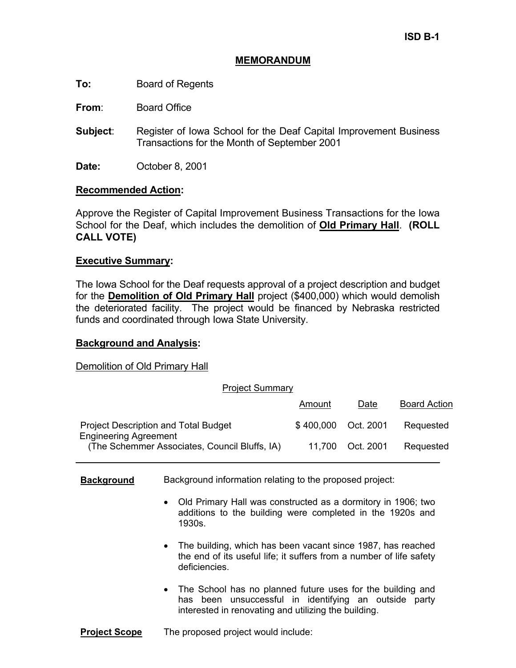# **MEMORANDUM**

**To:** Board of Regents

**From**: Board Office

- **Subject**: Register of Iowa School for the Deaf Capital Improvement Business Transactions for the Month of September 2001
- **Date:** October 8, 2001

# **Recommended Action:**

Approve the Register of Capital Improvement Business Transactions for the Iowa School for the Deaf, which includes the demolition of **Old Primary Hall**. **(ROLL CALL VOTE)** 

# **Executive Summary:**

The Iowa School for the Deaf requests approval of a project description and budget for the **Demolition of Old Primary Hall** project (\$400,000) which would demolish the deteriorated facility. The project would be financed by Nebraska restricted funds and coordinated through Iowa State University.

### **Background and Analysis:**

Demolition of Old Primary Hall

| <b>Project Summary</b>                                                      |                     |                  |                     |
|-----------------------------------------------------------------------------|---------------------|------------------|---------------------|
|                                                                             | Amount              | Date             | <b>Board Action</b> |
| <b>Project Description and Total Budget</b><br><b>Engineering Agreement</b> | \$400,000 Oct. 2001 |                  | Requested           |
| (The Schemmer Associates, Council Bluffs, IA)                               |                     | 11.700 Oct. 2001 | Requested           |

# **Background** Background information relating to the proposed project:

- Old Primary Hall was constructed as a dormitory in 1906; two additions to the building were completed in the 1920s and 1930s.
- The building, which has been vacant since 1987, has reached the end of its useful life; it suffers from a number of life safety deficiencies.
- The School has no planned future uses for the building and has been unsuccessful in identifying an outside party interested in renovating and utilizing the building.

### **Project Scope** The proposed project would include: